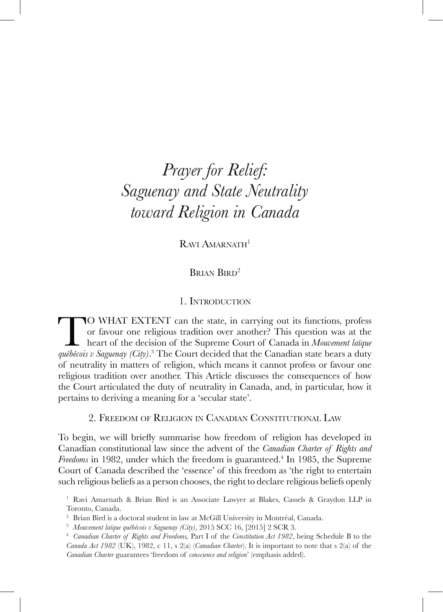# *Prayer for Relief: Saguenay and State Neutrality toward Religion in Canada*

RAVI AMARNATH<sup>1</sup>

BRIAN BIRD<sup>2</sup>

# 1. Introduction

**TO** WHAT EXTENT can the state, in carrying out its functions, profess or favour one religious tradition over another? This question was at the heart of the decision of the Supreme Court of Canada in Mouvement laïque québé or favour one religious tradition over another? This question was at the heart of the decision of the Supreme Court of Canada in *Mouvement laïque*  of neutrality in matters of religion, which means it cannot profess or favour one religious tradition over another. This Article discusses the consequences of how the Court articulated the duty of neutrality in Canada, and, in particular, how it pertains to deriving a meaning for a 'secular state'.

2. Freedom of Religion in Canadian Constitutional Law

To begin, we will briefly summarise how freedom of religion has developed in Canadian constitutional law since the advent of the *Canadian Charter of Rights and*  Freedoms in 1982, under which the freedom is guaranteed.<sup>4</sup> In 1985, the Supreme Court of Canada described the 'essence' of this freedom as 'the right to entertain such religious beliefs as a person chooses, the right to declare religious beliefs openly

<sup>1</sup> Ravi Amarnath & Brian Bird is an Associate Lawyer at Blakes, Cassels & Graydon LLP in Toronto, Canada.

<sup>2</sup> Brian Bird is a doctoral student in law at McGill University in Montréal, Canada.

<sup>3</sup> *Mouvement laïque québécois v Saguenay (City)*, 2015 SCC 16, [2015] 2 SCR 3.

<sup>4</sup> *Canadian Charter of Rights and Freedoms,* Part I of the *Constitution Act 1982*, being Schedule B to the *Canada Act 1982* (UK), 1982, c 11, s 2(a) (*Canadian Charter*). It is important to note that s 2(a) of the *Canadian Charter* guarantees 'freedom of *conscience and religion*' (emphasis added).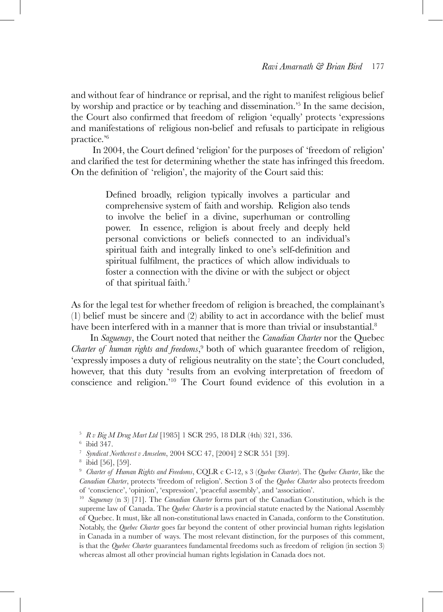and without fear of hindrance or reprisal, and the right to manifest religious belief by worship and practice or by teaching and dissemination.'5 In the same decision, the Court also confirmed that freedom of religion 'equally' protects 'expressions and manifestations of religious non-belief and refusals to participate in religious practice.'6

In 2004, the Court defined 'religion' for the purposes of 'freedom of religion' and clarified the test for determining whether the state has infringed this freedom. On the definition of 'religion', the majority of the Court said this:

> Defined broadly, religion typically involves a particular and comprehensive system of faith and worship. Religion also tends to involve the belief in a divine, superhuman or controlling power. In essence, religion is about freely and deeply held personal convictions or beliefs connected to an individual's spiritual faith and integrally linked to one's self-definition and spiritual fulfilment, the practices of which allow individuals to foster a connection with the divine or with the subject or object of that spiritual faith.7

As for the legal test for whether freedom of religion is breached, the complainant's (1) belief must be sincere and (2) ability to act in accordance with the belief must have been interfered with in a manner that is more than trivial or insubstantial.<sup>8</sup>

In *Saguenay*, the Court noted that neither the *Canadian Charter* nor the Quebec *Charter of human rights and freedoms*, 9 both of which guarantee freedom of religion, 'expressly imposes a duty of religious neutrality on the state'; the Court concluded, however, that this duty 'results from an evolving interpretation of freedom of conscience and religion.'10 The Court found evidence of this evolution in a

<sup>5</sup> *R v Big M Drug Mart Ltd* [1985] 1 SCR 295, 18 DLR (4th) 321, 336.

<sup>6</sup> ibid 347.

<sup>7</sup> *Syndicat Northcrest v Amselem*, 2004 SCC 47, [2004] 2 SCR 551 [39].

<sup>8</sup> ibid [56], [59].

<sup>9</sup> *Charter of Human Rights and Freedoms*, CQLR c C-12, s 3 (*Quebec Charter*). The *Quebec Charter*, like the *Canadian Charter*, protects 'freedom of religion'. Section 3 of the *Quebec Charter* also protects freedom of 'conscience', 'opinion', 'expression', 'peaceful assembly', and 'association'.

<sup>10</sup> *Saguenay* (n 3) [71]. The *Canadian Charter* forms part of the Canadian Constitution, which is the supreme law of Canada. The *Quebec Charter* is a provincial statute enacted by the National Assembly of Quebec. It must, like all non-constitutional laws enacted in Canada, conform to the Constitution. Notably, the *Quebec Charter* goes far beyond the content of other provincial human rights legislation in Canada in a number of ways. The most relevant distinction, for the purposes of this comment, is that the *Quebec Charter* guarantees fundamental freedoms such as freedom of religion (in section 3) whereas almost all other provincial human rights legislation in Canada does not.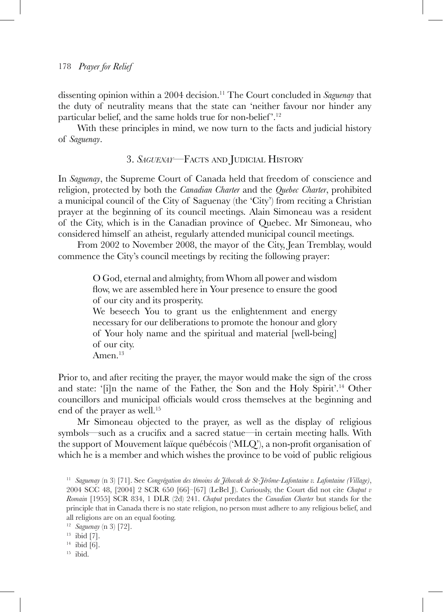dissenting opinion within a 2004 decision.11 The Court concluded in *Saguenay* that the duty of neutrality means that the state can 'neither favour nor hinder any particular belief, and the same holds true for non-belief'.<sup>12</sup>

With these principles in mind, we now turn to the facts and judicial history of *Saguenay*.

### 3. *Saguenay*—Facts and Judicial History

In *Saguenay*, the Supreme Court of Canada held that freedom of conscience and religion, protected by both the *Canadian Charter* and the *Quebec Charter*, prohibited a municipal council of the City of Saguenay (the 'City') from reciting a Christian prayer at the beginning of its council meetings. Alain Simoneau was a resident of the City, which is in the Canadian province of Quebec. Mr Simoneau, who considered himself an atheist, regularly attended municipal council meetings.

From 2002 to November 2008, the mayor of the City, Jean Tremblay, would commence the City's council meetings by reciting the following prayer:

> O God, eternal and almighty, from Whom all power and wisdom flow, we are assembled here in Your presence to ensure the good of our city and its prosperity.

> We beseech You to grant us the enlightenment and energy necessary for our deliberations to promote the honour and glory of Your holy name and the spiritual and material [well-being] of our city.

Amen.<sup>13</sup>

Prior to, and after reciting the prayer, the mayor would make the sign of the cross and state: '[i]n the name of the Father, the Son and the Holy Spirit'.<sup>14</sup> Other councillors and municipal officials would cross themselves at the beginning and end of the prayer as well.<sup>15</sup>

Mr Simoneau objected to the prayer, as well as the display of religious symbols—such as a crucifix and a sacred statue—in certain meeting halls. With the support of Mouvement laïque québécois ('MLQ'), a non-profit organisation of which he is a member and which wishes the province to be void of public religious

<sup>15</sup> ibid.

<sup>11</sup> *Saguenay* (n 3) [71]. See *Congrégation des témoins de Jéhovah de St-Jérôme-Lafontaine v. Lafontaine (Village)*, 2004 SCC 48, [2004] 2 SCR 650 [66]–[67] (LeBel J). Curiously, the Court did not cite *Chaput v Romain* [1955] SCR 834, 1 DLR (2d) 241. *Chaput* predates the *Canadian Charter* but stands for the principle that in Canada there is no state religion, no person must adhere to any religious belief, and all religions are on an equal footing.

<sup>12</sup> *Saguenay* (n 3) [72].

 $13$  ibid [7].

 $14$  ibid [6].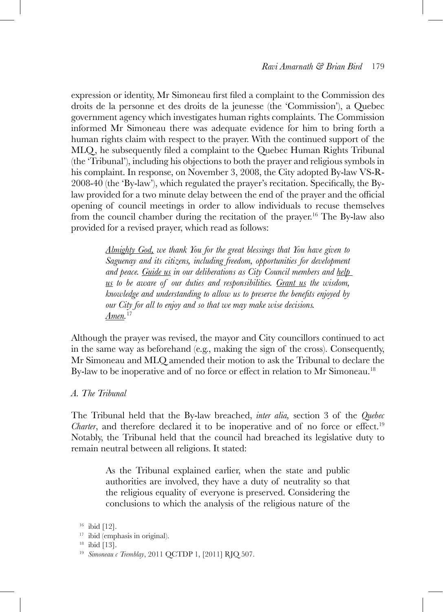expression or identity, Mr Simoneau first filed a complaint to the Commission des droits de la personne et des droits de la jeunesse (the 'Commission'), a Quebec government agency which investigates human rights complaints. The Commission informed Mr Simoneau there was adequate evidence for him to bring forth a human rights claim with respect to the prayer. With the continued support of the MLQ, he subsequently filed a complaint to the Quebec Human Rights Tribunal (the 'Tribunal'), including his objections to both the prayer and religious symbols in his complaint. In response, on November 3, 2008, the City adopted By-law VS-R-2008-40 (the 'By-law'), which regulated the prayer's recitation. Specifically, the Bylaw provided for a two minute delay between the end of the prayer and the official opening of council meetings in order to allow individuals to recuse themselves from the council chamber during the recitation of the prayer.<sup>16</sup> The By-law also provided for a revised prayer, which read as follows:

> *Almighty God, we thank You for the great blessings that You have given to Saguenay and its citizens, including freedom, opportunities for development*  and peace. Guide us in our deliberations as City Council members and help *us to be aware of our duties and responsibilities. Grant us the wisdom, knowledge and understanding to allow us to preserve the benefits enjoyed by our City for all to enjoy and so that we may make wise decisions. Amen.* 17

Although the prayer was revised, the mayor and City councillors continued to act in the same way as beforehand (e.g., making the sign of the cross). Consequently, Mr Simoneau and MLQ amended their motion to ask the Tribunal to declare the By-law to be inoperative and of no force or effect in relation to Mr Simoneau.<sup>18</sup>

#### *A. The Tribunal*

The Tribunal held that the By-law breached, *inter alia,* section 3 of the *Quebec Charter*, and therefore declared it to be inoperative and of no force or effect.<sup>19</sup> Notably, the Tribunal held that the council had breached its legislative duty to remain neutral between all religions. It stated:

> As the Tribunal explained earlier, when the state and public authorities are involved, they have a duty of neutrality so that the religious equality of everyone is preserved. Considering the conclusions to which the analysis of the religious nature of the

 $16$  ibid [12].

<sup>17</sup> ibid (emphasis in original).

 $18$  ibid [13].

<sup>19</sup> *Simoneau c Tremblay*, 2011 QCTDP 1, [2011] RJQ 507.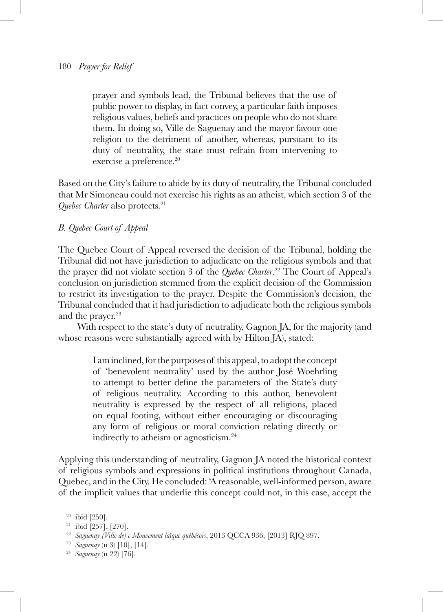prayer and symbols lead, the Tribunal believes that the use of public power to display, in fact convey, a particular faith imposes religious values, beliefs and practices on people who do not share them. In doing so, Ville de Saguenay and the mayor favour one religion to the detriment of another, whereas, pursuant to its duty of neutrality, the state must refrain from intervening to exercise a preference.<sup>20</sup>

Based on the City's failure to abide by its duty of neutrality, the Tribunal concluded that Mr Simoneau could not exercise his rights as an atheist, which section 3 of the *Quebec Charter* also protects.<sup>21</sup>

#### *B. Quebec Court of Appeal*

The Quebec Court of Appeal reversed the decision of the Tribunal, holding the Tribunal did not have jurisdiction to adjudicate on the religious symbols and that the prayer did not violate section 3 of the *Quebec Charter*. 22 The Court of Appeal's conclusion on jurisdiction stemmed from the explicit decision of the Commission to restrict its investigation to the prayer. Despite the Commission's decision, the Tribunal concluded that it had jurisdiction to adjudicate both the religious symbols and the prayer.<sup>23</sup>

With respect to the state's duty of neutrality, Gagnon JA, for the majority (and whose reasons were substantially agreed with by Hilton JA), stated:

> I am inclined, for the purposes of this appeal, to adopt the concept of 'benevolent neutrality' used by the author José Woehrling to attempt to better define the parameters of the State's duty of religious neutrality. According to this author, benevolent neutrality is expressed by the respect of all religions, placed on equal footing, without either encouraging or discouraging any form of religious or moral conviction relating directly or indirectly to atheism or agnosticism.24

Applying this understanding of neutrality, Gagnon JA noted the historical context of religious symbols and expressions in political institutions throughout Canada, Quebec, and in the City. He concluded: 'A reasonable, well-informed person, aware of the implicit values that underlie this concept could not, in this case, accept the

<sup>23</sup> *Saguenay* (n 3) [10], [14].

 $20$  ibid [250].

<sup>21</sup> ibid [257], [270].

<sup>22</sup> *Saguenay (Ville de) c Mouvement laïque québécois*, 2013 QCCA 936, [2013] RJQ 897.

<sup>24</sup> *Saguenay* (n 22) [76].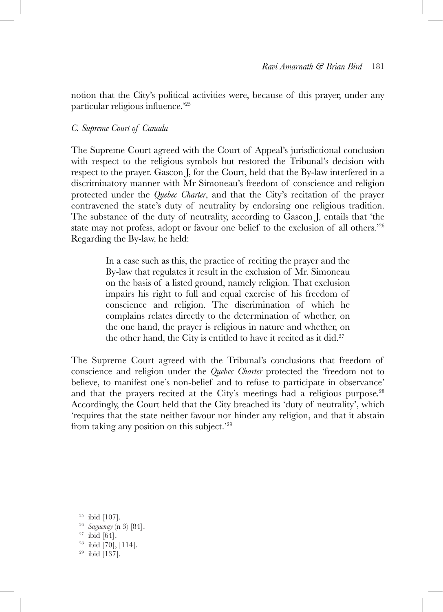notion that the City's political activities were, because of this prayer, under any particular religious influence.'<sup>25</sup>

#### *C. Supreme Court of Canada*

The Supreme Court agreed with the Court of Appeal's jurisdictional conclusion with respect to the religious symbols but restored the Tribunal's decision with respect to the prayer. Gascon J, for the Court, held that the By-law interfered in a discriminatory manner with Mr Simoneau's freedom of conscience and religion protected under the *Quebec Charter*, and that the City's recitation of the prayer contravened the state's duty of neutrality by endorsing one religious tradition. The substance of the duty of neutrality, according to Gascon J, entails that 'the state may not profess, adopt or favour one belief to the exclusion of all others.'26 Regarding the By-law, he held:

> In a case such as this, the practice of reciting the prayer and the By-law that regulates it result in the exclusion of Mr. Simoneau on the basis of a listed ground, namely religion. That exclusion impairs his right to full and equal exercise of his freedom of conscience and religion. The discrimination of which he complains relates directly to the determination of whether, on the one hand, the prayer is religious in nature and whether, on the other hand, the City is entitled to have it recited as it did. $27$

The Supreme Court agreed with the Tribunal's conclusions that freedom of conscience and religion under the *Quebec Charter* protected the 'freedom not to believe, to manifest one's non-belief and to refuse to participate in observance' and that the prayers recited at the City's meetings had a religious purpose.<sup>28</sup> Accordingly, the Court held that the City breached its 'duty of neutrality', which 'requires that the state neither favour nor hinder any religion, and that it abstain from taking any position on this subject.'29

 ibid [107]. *Saguenay* (n 3) [84]. ibid [64]. ibid [70], [114]. ibid [137].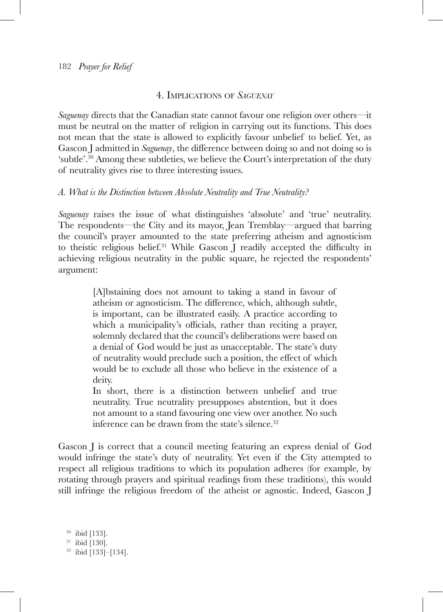## 4. Implications of *Saguenay*

*Saguenay* directs that the Canadian state cannot favour one religion over others—it must be neutral on the matter of religion in carrying out its functions. This does not mean that the state is allowed to explicitly favour unbelief to belief. Yet, as Gascon J admitted in *Saguenay*, the difference between doing so and not doing so is 'subtle'.30 Among these subtleties, we believe the Court's interpretation of the duty of neutrality gives rise to three interesting issues.

# *A. What is the Distinction between Absolute Neutrality and True Neutrality?*

*Saguenay* raises the issue of what distinguishes 'absolute' and 'true' neutrality. The respondents—the City and its mayor, Jean Tremblay—argued that barring the council's prayer amounted to the state preferring atheism and agnosticism to theistic religious belief.31 While Gascon J readily accepted the difficulty in achieving religious neutrality in the public square, he rejected the respondents' argument:

> [A]bstaining does not amount to taking a stand in favour of atheism or agnosticism. The difference, which, although subtle, is important, can be illustrated easily. A practice according to which a municipality's officials, rather than reciting a prayer, solemnly declared that the council's deliberations were based on a denial of God would be just as unacceptable. The state's duty of neutrality would preclude such a position, the effect of which would be to exclude all those who believe in the existence of a deity.

> In short, there is a distinction between unbelief and true neutrality. True neutrality presupposes abstention, but it does not amount to a stand favouring one view over another. No such inference can be drawn from the state's silence.<sup>32</sup>

Gascon J is correct that a council meeting featuring an express denial of God would infringe the state's duty of neutrality. Yet even if the City attempted to respect all religious traditions to which its population adheres (for example, by rotating through prayers and spiritual readings from these traditions), this would still infringe the religious freedom of the atheist or agnostic. Indeed, Gascon J

<sup>30</sup> ibid [133]. <sup>31</sup> ibid [130]. <sup>32</sup> ibid [133]–[134].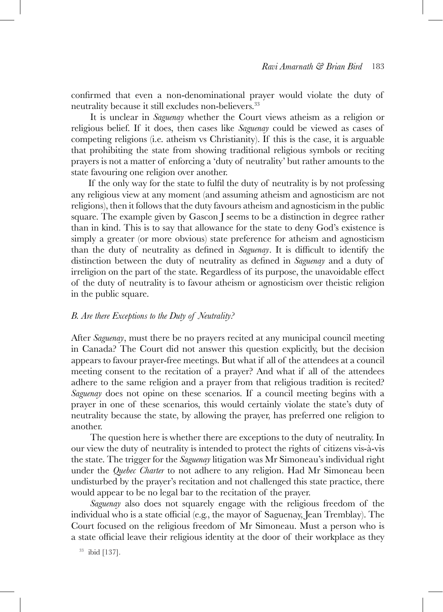confirmed that even a non-denominational prayer would violate the duty of neutrality because it still excludes non-believers.<sup>33</sup>

It is unclear in *Saguenay* whether the Court views atheism as a religion or religious belief. If it does, then cases like *Saguenay* could be viewed as cases of competing religions (i.e. atheism vs Christianity). If this is the case, it is arguable that prohibiting the state from showing traditional religious symbols or reciting prayers is not a matter of enforcing a 'duty of neutrality' but rather amounts to the state favouring one religion over another.

If the only way for the state to fulfil the duty of neutrality is by not professing any religious view at any moment (and assuming atheism and agnosticism are not religions), then it follows that the duty favours atheism and agnosticism in the public square. The example given by Gascon J seems to be a distinction in degree rather than in kind. This is to say that allowance for the state to deny God's existence is simply a greater (or more obvious) state preference for atheism and agnosticism than the duty of neutrality as defined in *Saguenay*. It is difficult to identify the distinction between the duty of neutrality as defined in *Saguenay* and a duty of irreligion on the part of the state. Regardless of its purpose, the unavoidable effect of the duty of neutrality is to favour atheism or agnosticism over theistic religion in the public square.

#### *B. Are there Exceptions to the Duty of Neutrality?*

After *Saguenay*, must there be no prayers recited at any municipal council meeting in Canada? The Court did not answer this question explicitly, but the decision appears to favour prayer-free meetings. But what if all of the attendees at a council meeting consent to the recitation of a prayer? And what if all of the attendees adhere to the same religion and a prayer from that religious tradition is recited? *Saguenay* does not opine on these scenarios. If a council meeting begins with a prayer in one of these scenarios, this would certainly violate the state's duty of neutrality because the state, by allowing the prayer, has preferred one religion to another.

The question here is whether there are exceptions to the duty of neutrality. In our view the duty of neutrality is intended to protect the rights of citizens vis-à-vis the state. The trigger for the *Saguenay* litigation was Mr Simoneau's individual right under the *Quebec Charter* to not adhere to any religion. Had Mr Simoneau been undisturbed by the prayer's recitation and not challenged this state practice, there would appear to be no legal bar to the recitation of the prayer.

*Saguenay* also does not squarely engage with the religious freedom of the individual who is a state official (e.g., the mayor of Saguenay, Jean Tremblay). The Court focused on the religious freedom of Mr Simoneau. Must a person who is a state official leave their religious identity at the door of their workplace as they

<sup>33</sup> ibid [137].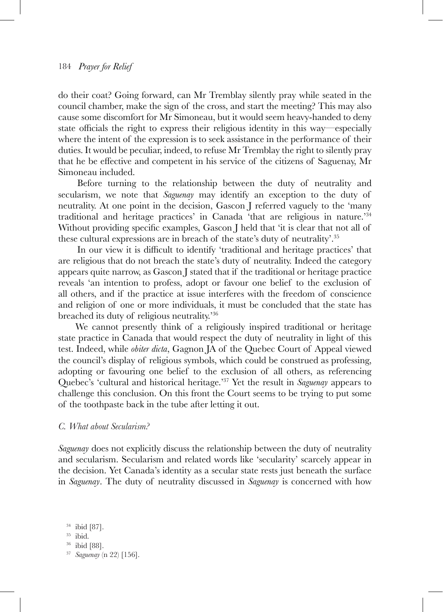do their coat? Going forward, can Mr Tremblay silently pray while seated in the council chamber, make the sign of the cross, and start the meeting? This may also cause some discomfort for Mr Simoneau, but it would seem heavy-handed to deny state officials the right to express their religious identity in this way—especially where the intent of the expression is to seek assistance in the performance of their duties. It would be peculiar, indeed, to refuse Mr Tremblay the right to silently pray that he be effective and competent in his service of the citizens of Saguenay, Mr Simoneau included.

Before turning to the relationship between the duty of neutrality and secularism, we note that *Saguenay* may identify an exception to the duty of neutrality. At one point in the decision, Gascon J referred vaguely to the 'many traditional and heritage practices' in Canada 'that are religious in nature.'34 Without providing specific examples, Gascon J held that 'it is clear that not all of these cultural expressions are in breach of the state's duty of neutrality'.35

In our view it is difficult to identify 'traditional and heritage practices' that are religious that do not breach the state's duty of neutrality. Indeed the category appears quite narrow, as Gascon J stated that if the traditional or heritage practice reveals 'an intention to profess, adopt or favour one belief to the exclusion of all others, and if the practice at issue interferes with the freedom of conscience and religion of one or more individuals, it must be concluded that the state has breached its duty of religious neutrality.'36

We cannot presently think of a religiously inspired traditional or heritage state practice in Canada that would respect the duty of neutrality in light of this test. Indeed, while *obiter dicta*, Gagnon JA of the Quebec Court of Appeal viewed the council's display of religious symbols, which could be construed as professing, adopting or favouring one belief to the exclusion of all others, as referencing Quebec's 'cultural and historical heritage.'37 Yet the result in *Saguenay* appears to challenge this conclusion. On this front the Court seems to be trying to put some of the toothpaste back in the tube after letting it out.

#### *C. What about Secularism?*

*Saguenay* does not explicitly discuss the relationship between the duty of neutrality and secularism. Secularism and related words like 'secularity' scarcely appear in the decision. Yet Canada's identity as a secular state rests just beneath the surface in *Saguenay*. The duty of neutrality discussed in *Saguenay* is concerned with how

<sup>34</sup> ibid [87].

<sup>35</sup> ibid.

<sup>36</sup> ibid [88].

<sup>37</sup> *Saguenay* (n 22) [156].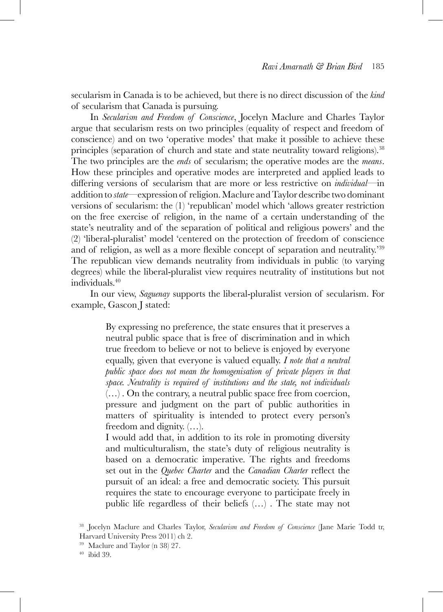secularism in Canada is to be achieved, but there is no direct discussion of the *kind*  of secularism that Canada is pursuing.

In *Secularism and Freedom of Conscience*, Jocelyn Maclure and Charles Taylor argue that secularism rests on two principles (equality of respect and freedom of conscience) and on two 'operative modes' that make it possible to achieve these principles (separation of church and state and state neutrality toward religions).38 The two principles are the *ends* of secularism; the operative modes are the *means*. How these principles and operative modes are interpreted and applied leads to differing versions of secularism that are more or less restrictive on *individual*—in addition to *state*—expression of religion. Maclure and Taylor describe two dominant versions of secularism: the (1) 'republican' model which 'allows greater restriction on the free exercise of religion, in the name of a certain understanding of the state's neutrality and of the separation of political and religious powers' and the (2) 'liberal-pluralist' model 'centered on the protection of freedom of conscience and of religion, as well as a more flexible concept of separation and neutrality.'<sup>39</sup> The republican view demands neutrality from individuals in public (to varying degrees) while the liberal-pluralist view requires neutrality of institutions but not individuals.40

In our view, *Saguenay* supports the liberal-pluralist version of secularism. For example, Gascon J stated:

> By expressing no preference, the state ensures that it preserves a neutral public space that is free of discrimination and in which true freedom to believe or not to believe is enjoyed by everyone equally, given that everyone is valued equally. *I note that a neutral public space does not mean the homogenisation of private players in that space. Neutrality is required of institutions and the state, not individuals* (…) . On the contrary, a neutral public space free from coercion, pressure and judgment on the part of public authorities in matters of spirituality is intended to protect every person's freedom and dignity. (…).

> I would add that, in addition to its role in promoting diversity and multiculturalism, the state's duty of religious neutrality is based on a democratic imperative. The rights and freedoms set out in the *Quebec Charter* and the *Canadian Charter* reflect the pursuit of an ideal: a free and democratic society. This pursuit requires the state to encourage everyone to participate freely in public life regardless of their beliefs (…) . The state may not

<sup>38</sup> Jocelyn Maclure and Charles Taylor, *Secularism and Freedom of Conscience* (Jane Marie Todd tr, Harvard University Press 2011) ch 2.

<sup>40</sup> ibid 39.

<sup>39</sup> Maclure and Taylor (n 38) 27.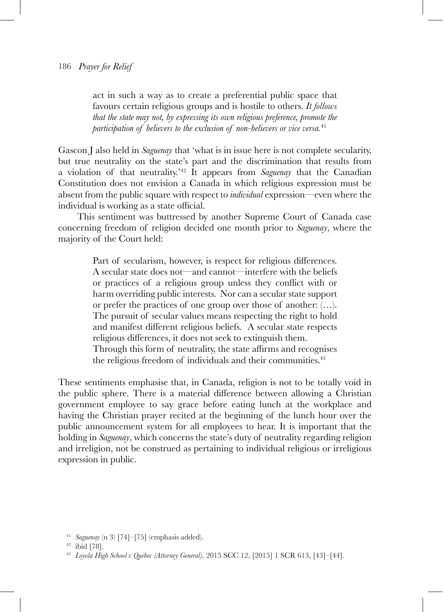act in such a way as to create a preferential public space that favours certain religious groups and is hostile to others. *It follows that the state may not, by expressing its own religious preference, promote the participation of believers to the exclusion of non-believers or vice versa.*<sup>41</sup>

Gascon J also held in *Saguenay* that 'what is in issue here is not complete secularity, but true neutrality on the state's part and the discrimination that results from a violation of that neutrality.'42 It appears from *Saguenay* that the Canadian Constitution does not envision a Canada in which religious expression must be absent from the public square with respect to *individual* expression—even where the individual is working as a state official.

This sentiment was buttressed by another Supreme Court of Canada case concerning freedom of religion decided one month prior to *Saguenay*, where the majority of the Court held:

> Part of secularism, however, is respect for religious differences. A secular state does not—and cannot—interfere with the beliefs or practices of a religious group unless they conflict with or harm overriding public interests. Nor can a secular state support or prefer the practices of one group over those of another: (…). The pursuit of secular values means respecting the right to hold and manifest different religious beliefs. A secular state respects religious differences, it does not seek to extinguish them. Through this form of neutrality, the state affirms and recognises the religious freedom of individuals and their communities.<sup>43</sup>

These sentiments emphasise that, in Canada, religion is not to be totally void in the public sphere. There is a material difference between allowing a Christian government employee to say grace before eating lunch at the workplace and having the Christian prayer recited at the beginning of the lunch hour over the public announcement system for all employees to hear. It is important that the holding in *Saguenay*, which concerns the state's duty of neutrality regarding religion and irreligion, not be construed as pertaining to individual religious or irreligious expression in public.

<sup>41</sup> *Saguenay* (n 3) [74]–[75] (emphasis added).

<sup>42</sup> ibid [78].

<sup>43</sup> *Loyola High School v Quebec (Attorney General),* 2015 SCC 12, [2015] 1 SCR 613, [43]–[44].